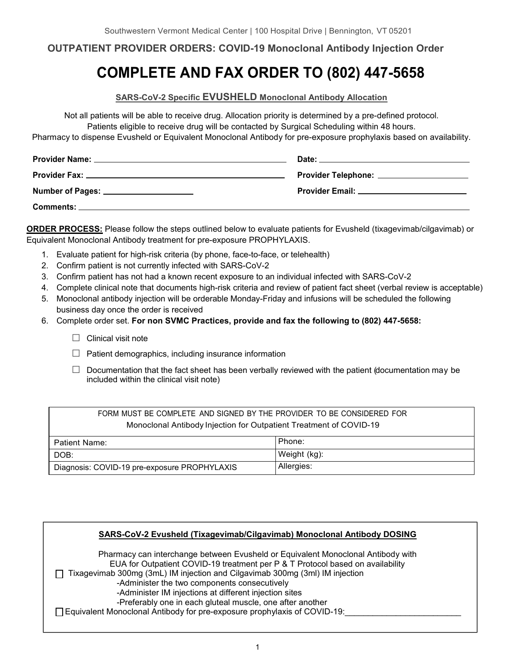## **OUTPATIENT PROVIDER ORDERS: COVID-19 Monoclonal Antibody Injection Order**

# **COMPLETE AND FAX ORDER TO (802) 447-5658**

**SARS-CoV-2 Specific EVUSHELD Monoclonal Antibody Allocation**

Not all patients will be able to receive drug. Allocation priority is determined by a pre-defined protocol. Patients eligible to receive drug will be contacted by Surgical Scheduling within 48 hours.

Pharmacy to dispense Evusheld or Equivalent Monoclonal Antibody for pre-exposure prophylaxis based on availability.

|                                         | Provider Telephone: _____________________     |
|-----------------------------------------|-----------------------------------------------|
| Number of Pages: ______________________ | Provider Email: _____________________________ |
|                                         |                                               |

**ORDER PROCESS:** Please follow the steps outlined below to evaluate patients for Evusheld (tixagevimab/cilgavimab) or Equivalent Monoclonal Antibody treatment for pre-exposure PROPHYLAXIS.

- 1. Evaluate patient for high-risk criteria (by phone, face-to-face, or telehealth)
- 2. Confirm patient is not currently infected with SARS-CoV-2
- 3. Confirm patient has not had a known recent exposure to an individual infected with SARS-CoV-2
- 4. Complete clinical note that documents high-risk criteria and review of patient fact sheet (verbal review is acceptable)
- 5. Monoclonal antibody injection will be orderable Monday-Friday and infusions will be scheduled the following business day once the order is received
- 6. Complete order set. **For non SVMC Practices, provide and fax the following to (802) 447-5658:**
	- $\Box$  Clinical visit note
	- $\Box$  Patient demographics, including insurance information
	- $\Box$  Documentation that the fact sheet has been verbally reviewed with the patient (documentation may be included within the clinical visit note)

| FORM MUST BE COMPLETE AND SIGNED BY THE PROVIDER TO BE CONSIDERED FOR |              |  |
|-----------------------------------------------------------------------|--------------|--|
| Monoclonal Antibody Injection for Outpatient Treatment of COVID-19    |              |  |
| Patient Name:                                                         | Phone:       |  |
| DOB:                                                                  | Weight (kg): |  |
| Diagnosis: COVID-19 pre-exposure PROPHYLAXIS                          | Allergies:   |  |

#### **SARS-CoV-2 Evusheld (Tixagevimab/Cilgavimab) Monoclonal Antibody DOSING**

Pharmacy can interchange between Evusheld or Equivalent Monoclonal Antibody with EUA for Outpatient COVID-19 treatment per P & T Protocol based on availability

Tixagevimab 300mg (3mL) IM injection and Cilgavimab 300mg (3ml) IM injection

-Administer the two components consecutively

-Administer IM injections at different injection sites

-Preferably one in each gluteal muscle, one after another

 $\Box$  Equivalent Monoclonal Antibody for pre-exposure prophylaxis of COVID-19: